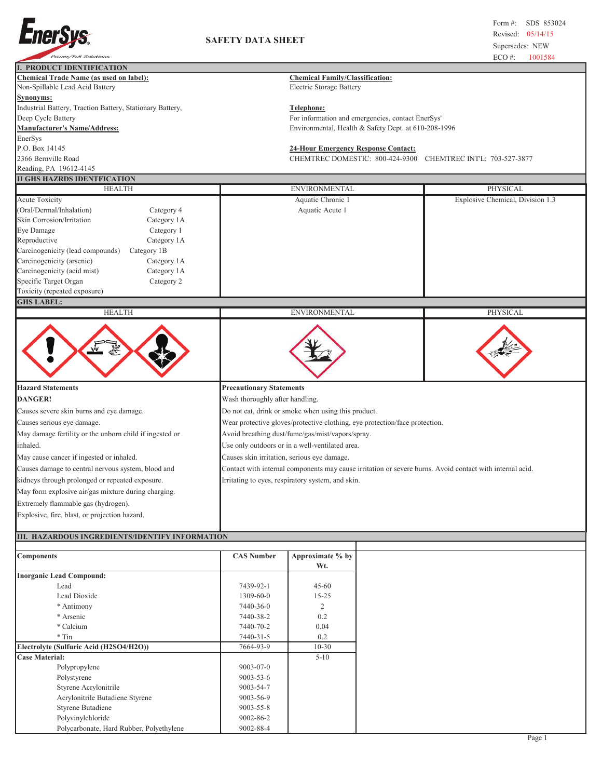

## **SAFETY DATA SHEET**

| <b>Power/Full Solutions</b>                                                       |                                                                                                                                 |                                                                           |                                                   | $ECO$ #:<br>1001584                                                                                      |  |  |
|-----------------------------------------------------------------------------------|---------------------------------------------------------------------------------------------------------------------------------|---------------------------------------------------------------------------|---------------------------------------------------|----------------------------------------------------------------------------------------------------------|--|--|
| <b>I. PRODUCT IDENTIFICATION</b>                                                  |                                                                                                                                 |                                                                           |                                                   |                                                                                                          |  |  |
| <b>Chemical Trade Name (as used on label):</b><br>Non-Spillable Lead Acid Battery |                                                                                                                                 | <b>Chemical Family/Classification:</b><br><b>Electric Storage Battery</b> |                                                   |                                                                                                          |  |  |
| Synonyms:                                                                         |                                                                                                                                 |                                                                           |                                                   |                                                                                                          |  |  |
| Industrial Battery, Traction Battery, Stationary Battery,                         |                                                                                                                                 | Telephone:                                                                |                                                   |                                                                                                          |  |  |
| Deep Cycle Battery                                                                |                                                                                                                                 |                                                                           | For information and emergencies, contact EnerSys' |                                                                                                          |  |  |
| <b>Manufacturer's Name/Address:</b>                                               |                                                                                                                                 | Environmental, Health & Safety Dept. at 610-208-1996                      |                                                   |                                                                                                          |  |  |
| EnerSys                                                                           |                                                                                                                                 |                                                                           |                                                   |                                                                                                          |  |  |
| P.O. Box 14145                                                                    |                                                                                                                                 | <b>24-Hour Emergency Response Contact:</b>                                |                                                   |                                                                                                          |  |  |
| 2366 Bernville Road                                                               |                                                                                                                                 | CHEMTREC DOMESTIC: 800-424-9300                                           |                                                   | CHEMTREC INTL: 703-527-3877                                                                              |  |  |
| Reading, PA 19612-4145                                                            |                                                                                                                                 |                                                                           |                                                   |                                                                                                          |  |  |
| <b>II GHS HAZRDS IDENTFICATION</b>                                                |                                                                                                                                 |                                                                           |                                                   |                                                                                                          |  |  |
| <b>HEALTH</b>                                                                     |                                                                                                                                 | <b>ENVIRONMENTAL</b>                                                      |                                                   | PHYSICAL                                                                                                 |  |  |
| <b>Acute Toxicity</b>                                                             |                                                                                                                                 | Aquatic Chronic 1                                                         |                                                   | Explosive Chemical, Division 1.3                                                                         |  |  |
| (Oral/Dermal/Inhalation)<br>Category 4                                            |                                                                                                                                 | Aquatic Acute 1                                                           |                                                   |                                                                                                          |  |  |
| Skin Corrosion/Irritation<br>Category 1A                                          |                                                                                                                                 |                                                                           |                                                   |                                                                                                          |  |  |
| Eye Damage<br>Category 1                                                          |                                                                                                                                 |                                                                           |                                                   |                                                                                                          |  |  |
| Reproductive<br>Category 1A                                                       |                                                                                                                                 |                                                                           |                                                   |                                                                                                          |  |  |
| Carcinogenicity (lead compounds)<br>Category 1B                                   |                                                                                                                                 |                                                                           |                                                   |                                                                                                          |  |  |
| Carcinogenicity (arsenic)<br>Category 1A                                          |                                                                                                                                 |                                                                           |                                                   |                                                                                                          |  |  |
| Carcinogenicity (acid mist)<br>Category 1A                                        |                                                                                                                                 |                                                                           |                                                   |                                                                                                          |  |  |
| Specific Target Organ<br>Category 2                                               |                                                                                                                                 |                                                                           |                                                   |                                                                                                          |  |  |
| Toxicity (repeated exposure)                                                      |                                                                                                                                 |                                                                           |                                                   |                                                                                                          |  |  |
| <b>GHS LABEL:</b>                                                                 |                                                                                                                                 |                                                                           |                                                   |                                                                                                          |  |  |
| <b>HEALTH</b>                                                                     |                                                                                                                                 | <b>ENVIRONMENTAL</b>                                                      |                                                   | PHYSICAL                                                                                                 |  |  |
| يبني                                                                              |                                                                                                                                 |                                                                           |                                                   |                                                                                                          |  |  |
| <b>Hazard Statements</b>                                                          | <b>Precautionary Statements</b>                                                                                                 |                                                                           |                                                   |                                                                                                          |  |  |
| <b>DANGER!</b>                                                                    | Wash thoroughly after handling.                                                                                                 |                                                                           |                                                   |                                                                                                          |  |  |
| Causes severe skin burns and eye damage.                                          |                                                                                                                                 | Do not eat, drink or smoke when using this product.                       |                                                   |                                                                                                          |  |  |
| Causes serious eye damage.                                                        |                                                                                                                                 |                                                                           |                                                   |                                                                                                          |  |  |
| May damage fertility or the unborn child if ingested or                           | Wear protective gloves/protective clothing, eye protection/face protection.<br>Avoid breathing dust/fume/gas/mist/vapors/spray. |                                                                           |                                                   |                                                                                                          |  |  |
|                                                                                   |                                                                                                                                 |                                                                           |                                                   |                                                                                                          |  |  |
| inhaled.                                                                          | Use only outdoors or in a well-ventilated area.                                                                                 |                                                                           |                                                   |                                                                                                          |  |  |
| May cause cancer if ingested or inhaled.                                          | Causes skin irritation, serious eye damage.                                                                                     |                                                                           |                                                   |                                                                                                          |  |  |
| Causes damage to central nervous system, blood and                                |                                                                                                                                 |                                                                           |                                                   | Contact with internal components may cause irritation or severe burns. Avoid contact with internal acid. |  |  |
| kidneys through prolonged or repeated exposure.                                   |                                                                                                                                 | Irritating to eyes, respiratory system, and skin.                         |                                                   |                                                                                                          |  |  |
| May form explosive air/gas mixture during charging.                               |                                                                                                                                 |                                                                           |                                                   |                                                                                                          |  |  |
| Extremely flammable gas (hydrogen).                                               |                                                                                                                                 |                                                                           |                                                   |                                                                                                          |  |  |
| Explosive, fire, blast, or projection hazard.                                     |                                                                                                                                 |                                                                           |                                                   |                                                                                                          |  |  |
|                                                                                   |                                                                                                                                 |                                                                           |                                                   |                                                                                                          |  |  |
| III. HAZARDOUS INGREDIENTS/IDENTIFY INFORMATION                                   |                                                                                                                                 |                                                                           |                                                   |                                                                                                          |  |  |
| <b>Components</b>                                                                 | <b>CAS Number</b>                                                                                                               | Approximate % by<br>Wt.                                                   |                                                   |                                                                                                          |  |  |
| <b>Inorganic Lead Compound:</b>                                                   |                                                                                                                                 |                                                                           |                                                   |                                                                                                          |  |  |
| Lead                                                                              | 7439-92-1                                                                                                                       | $45 - 60$                                                                 |                                                   |                                                                                                          |  |  |
| Lead Dioxide                                                                      | 1309-60-0                                                                                                                       | $15 - 25$                                                                 |                                                   |                                                                                                          |  |  |
| * Antimony                                                                        | 7440-36-0                                                                                                                       | $\overline{2}$                                                            |                                                   |                                                                                                          |  |  |
| * Arsenic                                                                         | 7440-38-2                                                                                                                       | 0.2                                                                       |                                                   |                                                                                                          |  |  |

\* Calcium 7440-70-2 0.04 \* Tin 7440-31-5 0.2

**Electrolyte (Sulfuric Acid (H2SO4/H2O))** 7664-93-9 10-30 **Case Material:** 5-10 Polypropylene 9003-07-0 Polystyrene 9003-53-6 Styrene Acrylonitrile 9003-54-7 Acrylonitrile Butadiene Styrene 9003-56-9 Styrene Butadiene 9003-55-8 Polyvinylchloride 9002-86-2

Polycarbonate, Hard Rubber, Polyethylene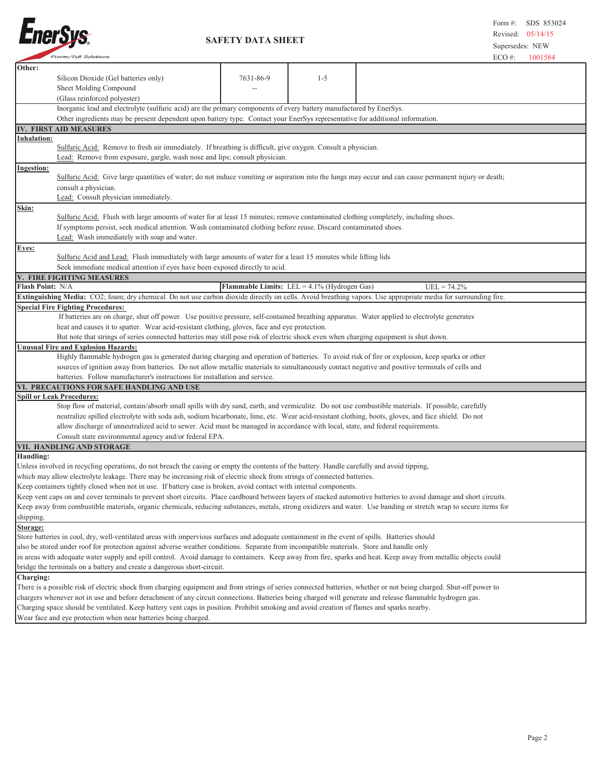

 **SAFETY DATA SHEET**

| <b>Power/Full Solutions</b>                                                                                                                                         |                                                                                                                                                                                                                                                                                                         |           |                                                       | $ECO \#$ :                                                                                                                                      | 1001584 |  |  |
|---------------------------------------------------------------------------------------------------------------------------------------------------------------------|---------------------------------------------------------------------------------------------------------------------------------------------------------------------------------------------------------------------------------------------------------------------------------------------------------|-----------|-------------------------------------------------------|-------------------------------------------------------------------------------------------------------------------------------------------------|---------|--|--|
| Other:                                                                                                                                                              |                                                                                                                                                                                                                                                                                                         |           |                                                       |                                                                                                                                                 |         |  |  |
| Silicon Dioxide (Gel batteries only)                                                                                                                                |                                                                                                                                                                                                                                                                                                         | 7631-86-9 | $1 - 5$                                               |                                                                                                                                                 |         |  |  |
| Sheet Molding Compound                                                                                                                                              |                                                                                                                                                                                                                                                                                                         |           |                                                       |                                                                                                                                                 |         |  |  |
| (Glass reinforced polyester)                                                                                                                                        |                                                                                                                                                                                                                                                                                                         |           |                                                       |                                                                                                                                                 |         |  |  |
|                                                                                                                                                                     |                                                                                                                                                                                                                                                                                                         |           |                                                       |                                                                                                                                                 |         |  |  |
|                                                                                                                                                                     | Inorganic lead and electrolyte (sulfuric acid) are the primary components of every battery manufactured by EnerSys.<br>Other ingredients may be present dependent upon battery type. Contact your EnerSys representative for additional information.                                                    |           |                                                       |                                                                                                                                                 |         |  |  |
| IV. FIRST AID MEASURES                                                                                                                                              |                                                                                                                                                                                                                                                                                                         |           |                                                       |                                                                                                                                                 |         |  |  |
| Inhalation:                                                                                                                                                         |                                                                                                                                                                                                                                                                                                         |           |                                                       |                                                                                                                                                 |         |  |  |
| Sulfuric Acid: Remove to fresh air immediately. If breathing is difficult, give oxygen. Consult a physician.                                                        |                                                                                                                                                                                                                                                                                                         |           |                                                       |                                                                                                                                                 |         |  |  |
|                                                                                                                                                                     | Lead: Remove from exposure, gargle, wash nose and lips; consult physician.                                                                                                                                                                                                                              |           |                                                       |                                                                                                                                                 |         |  |  |
|                                                                                                                                                                     |                                                                                                                                                                                                                                                                                                         |           |                                                       |                                                                                                                                                 |         |  |  |
|                                                                                                                                                                     | <b>Ingestion:</b>                                                                                                                                                                                                                                                                                       |           |                                                       |                                                                                                                                                 |         |  |  |
|                                                                                                                                                                     | Sulfuric Acid: Give large quantities of water; do not induce vomiting or aspiration into the lungs may occur and can cause permanent injury or death;                                                                                                                                                   |           |                                                       |                                                                                                                                                 |         |  |  |
| consult a physician.                                                                                                                                                |                                                                                                                                                                                                                                                                                                         |           |                                                       |                                                                                                                                                 |         |  |  |
| Lead: Consult physician immediately.                                                                                                                                |                                                                                                                                                                                                                                                                                                         |           |                                                       |                                                                                                                                                 |         |  |  |
| <u>Skin:</u>                                                                                                                                                        |                                                                                                                                                                                                                                                                                                         |           |                                                       |                                                                                                                                                 |         |  |  |
| Sulfuric Acid: Flush with large amounts of water for at least 15 minutes; remove contaminated clothing completely, including shoes.                                 |                                                                                                                                                                                                                                                                                                         |           |                                                       |                                                                                                                                                 |         |  |  |
| If symptoms persist, seek medical attention. Wash contaminated clothing before reuse. Discard contaminated shoes.                                                   |                                                                                                                                                                                                                                                                                                         |           |                                                       |                                                                                                                                                 |         |  |  |
| Lead: Wash immediately with soap and water.                                                                                                                         |                                                                                                                                                                                                                                                                                                         |           |                                                       |                                                                                                                                                 |         |  |  |
| Eyes:                                                                                                                                                               |                                                                                                                                                                                                                                                                                                         |           |                                                       |                                                                                                                                                 |         |  |  |
| Sulfuric Acid and Lead: Flush immediately with large amounts of water for a least 15 minutes while lifting lids                                                     |                                                                                                                                                                                                                                                                                                         |           |                                                       |                                                                                                                                                 |         |  |  |
| Seek immediate medical attention if eyes have been exposed directly to acid.                                                                                        |                                                                                                                                                                                                                                                                                                         |           |                                                       |                                                                                                                                                 |         |  |  |
| V. FIRE FIGHTING MEASURES                                                                                                                                           |                                                                                                                                                                                                                                                                                                         |           |                                                       |                                                                                                                                                 |         |  |  |
| Flash Point: N/A                                                                                                                                                    |                                                                                                                                                                                                                                                                                                         |           | <b>Flammable Limits:</b> LEL = $4.1\%$ (Hydrogen Gas) | $UEL = 74.2%$                                                                                                                                   |         |  |  |
| Extinguishing Media: CO2; foam; dry chemical. Do not use carbon dioxide directly on cells. Avoid breathing vapors. Use appropriate media for surrounding fire.      |                                                                                                                                                                                                                                                                                                         |           |                                                       |                                                                                                                                                 |         |  |  |
| <b>Special Fire Fighting Procedures:</b>                                                                                                                            |                                                                                                                                                                                                                                                                                                         |           |                                                       |                                                                                                                                                 |         |  |  |
|                                                                                                                                                                     |                                                                                                                                                                                                                                                                                                         |           |                                                       | If batteries are on charge, shut off power. Use positive pressure, self-contained breathing apparatus. Water applied to electrolyte generates   |         |  |  |
| heat and causes it to spatter. Wear acid-resistant clothing, gloves, face and eye protection.                                                                       |                                                                                                                                                                                                                                                                                                         |           |                                                       |                                                                                                                                                 |         |  |  |
| But note that strings of series connected batteries may still pose risk of electric shock even when charging equipment is shut down.                                |                                                                                                                                                                                                                                                                                                         |           |                                                       |                                                                                                                                                 |         |  |  |
| <b>Unusual Fire and Explosion Hazards:</b>                                                                                                                          |                                                                                                                                                                                                                                                                                                         |           |                                                       |                                                                                                                                                 |         |  |  |
|                                                                                                                                                                     |                                                                                                                                                                                                                                                                                                         |           |                                                       | Highly flammable hydrogen gas is generated during charging and operation of batteries. To avoid risk of fire or explosion, keep sparks or other |         |  |  |
|                                                                                                                                                                     |                                                                                                                                                                                                                                                                                                         |           |                                                       | sources of ignition away from batteries. Do not allow metallic materials to simultaneously contact negative and positive terminals of cells and |         |  |  |
| batteries. Follow manufacturer's instructions for installation and service.                                                                                         |                                                                                                                                                                                                                                                                                                         |           |                                                       |                                                                                                                                                 |         |  |  |
| VI. PRECAUTIONS FOR SAFE HANDLING AND USE                                                                                                                           |                                                                                                                                                                                                                                                                                                         |           |                                                       |                                                                                                                                                 |         |  |  |
| Spill or Leak Procedures:                                                                                                                                           |                                                                                                                                                                                                                                                                                                         |           |                                                       |                                                                                                                                                 |         |  |  |
|                                                                                                                                                                     |                                                                                                                                                                                                                                                                                                         |           |                                                       |                                                                                                                                                 |         |  |  |
|                                                                                                                                                                     | Stop flow of material, contain/absorb small spills with dry sand, earth, and vermiculite. Do not use combustible materials. If possible, carefully<br>neutralize spilled electrolyte with soda ash, sodium bicarbonate, lime, etc. Wear acid-resistant clothing, boots, gloves, and face shield. Do not |           |                                                       |                                                                                                                                                 |         |  |  |
| allow discharge of unneutralized acid to sewer. Acid must be managed in accordance with local, state, and federal requirements.                                     |                                                                                                                                                                                                                                                                                                         |           |                                                       |                                                                                                                                                 |         |  |  |
| Consult state environmental agency and/or federal EPA.                                                                                                              |                                                                                                                                                                                                                                                                                                         |           |                                                       |                                                                                                                                                 |         |  |  |
| VII. HANDLING AND STORAGE                                                                                                                                           |                                                                                                                                                                                                                                                                                                         |           |                                                       |                                                                                                                                                 |         |  |  |
| <b>Handling:</b>                                                                                                                                                    |                                                                                                                                                                                                                                                                                                         |           |                                                       |                                                                                                                                                 |         |  |  |
| Unless involved in recycling operations, do not breach the casing or empty the contents of the battery. Handle carefully and avoid tipping,                         |                                                                                                                                                                                                                                                                                                         |           |                                                       |                                                                                                                                                 |         |  |  |
|                                                                                                                                                                     |                                                                                                                                                                                                                                                                                                         |           |                                                       |                                                                                                                                                 |         |  |  |
| which may allow electrolyte leakage. There may be increasing risk of electric shock from strings of connected batteries.                                            |                                                                                                                                                                                                                                                                                                         |           |                                                       |                                                                                                                                                 |         |  |  |
| Keep containers tightly closed when not in use. If battery case is broken, avoid contact with internal components.                                                  |                                                                                                                                                                                                                                                                                                         |           |                                                       |                                                                                                                                                 |         |  |  |
| Keep vent caps on and cover terminals to prevent short circuits. Place cardboard between layers of stacked automotive batteries to avoid damage and short circuits. |                                                                                                                                                                                                                                                                                                         |           |                                                       |                                                                                                                                                 |         |  |  |
| Keep away from combustible materials, organic chemicals, reducing substances, metals, strong oxidizers and water. Use banding or stretch wrap to secure items for   |                                                                                                                                                                                                                                                                                                         |           |                                                       |                                                                                                                                                 |         |  |  |
| shipping.                                                                                                                                                           |                                                                                                                                                                                                                                                                                                         |           |                                                       |                                                                                                                                                 |         |  |  |
| Storage:                                                                                                                                                            |                                                                                                                                                                                                                                                                                                         |           |                                                       |                                                                                                                                                 |         |  |  |
| Store batteries in cool, dry, well-ventilated areas with impervious surfaces and adequate containment in the event of spills. Batteries should                      |                                                                                                                                                                                                                                                                                                         |           |                                                       |                                                                                                                                                 |         |  |  |
| also be stored under roof for protection against adverse weather conditions. Separate from incompatible materials. Store and handle only                            |                                                                                                                                                                                                                                                                                                         |           |                                                       |                                                                                                                                                 |         |  |  |
| in areas with adequate water supply and spill control. Avoid damage to containers. Keep away from fire, sparks and heat. Keep away from metallic objects could      |                                                                                                                                                                                                                                                                                                         |           |                                                       |                                                                                                                                                 |         |  |  |
|                                                                                                                                                                     | bridge the terminals on a battery and create a dangerous short-circuit.                                                                                                                                                                                                                                 |           |                                                       |                                                                                                                                                 |         |  |  |
| Charging:                                                                                                                                                           |                                                                                                                                                                                                                                                                                                         |           |                                                       |                                                                                                                                                 |         |  |  |
|                                                                                                                                                                     | There is a possible risk of electric shock from charging equipment and from strings of series connected batteries, whether or not being charged. Shut-off power to                                                                                                                                      |           |                                                       |                                                                                                                                                 |         |  |  |
| chargers whenever not in use and before detachment of any circuit connections. Batteries being charged will generate and release flammable hydrogen gas.            |                                                                                                                                                                                                                                                                                                         |           |                                                       |                                                                                                                                                 |         |  |  |
| Charging space should be ventilated. Keep battery vent caps in position. Prohibit smoking and avoid creation of flames and sparks nearby.                           |                                                                                                                                                                                                                                                                                                         |           |                                                       |                                                                                                                                                 |         |  |  |
|                                                                                                                                                                     | Wear face and eye protection when near batteries being charged.                                                                                                                                                                                                                                         |           |                                                       |                                                                                                                                                 |         |  |  |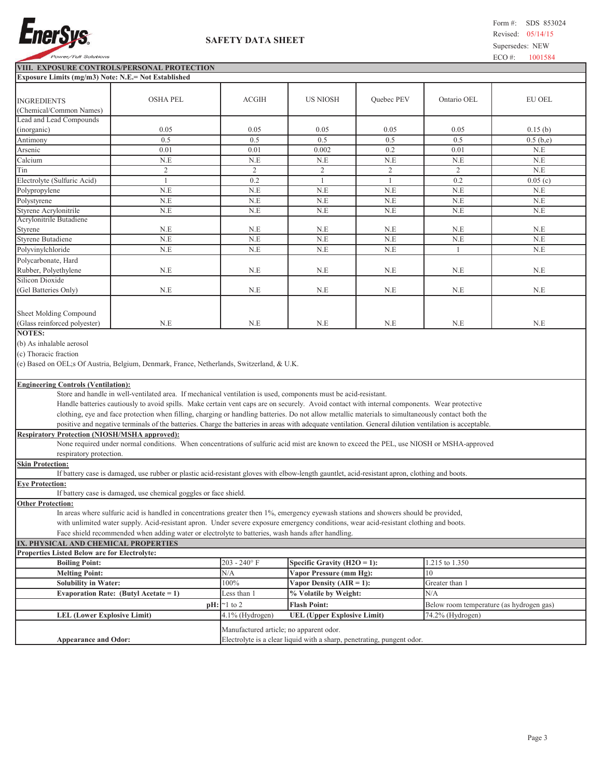

## **SAFETY DATA SHEET**

**VIII. EXPOSURE CONTROLS/PERSONAL PROTECTION Exposu** 

|                                                                                                                                                                                                                                                                                                                                                                                                                                                                                                                                                                                                                               | Exposure Limits (mg/m3) Note: N.E.= Not Established                                                                                              |                 |                                    |                   |                                          |               |  |  |
|-------------------------------------------------------------------------------------------------------------------------------------------------------------------------------------------------------------------------------------------------------------------------------------------------------------------------------------------------------------------------------------------------------------------------------------------------------------------------------------------------------------------------------------------------------------------------------------------------------------------------------|--------------------------------------------------------------------------------------------------------------------------------------------------|-----------------|------------------------------------|-------------------|------------------------------------------|---------------|--|--|
| <b>INGREDIENTS</b><br>(Chemical/Common Names)                                                                                                                                                                                                                                                                                                                                                                                                                                                                                                                                                                                 | <b>OSHA PEL</b>                                                                                                                                  | <b>ACGIH</b>    | <b>US NIOSH</b>                    | <b>Ouebec PEV</b> | Ontario OEL                              | <b>EU OEL</b> |  |  |
| Lead and Lead Compounds<br>(inorganic)                                                                                                                                                                                                                                                                                                                                                                                                                                                                                                                                                                                        | 0.05                                                                                                                                             | 0.05            | 0.05                               | 0.05              | 0.05                                     | 0.15(b)       |  |  |
| Antimony                                                                                                                                                                                                                                                                                                                                                                                                                                                                                                                                                                                                                      | 0.5                                                                                                                                              | 0.5             | 0.5                                | 0.5               | 0.5                                      | $0.5$ (b,e)   |  |  |
| Arsenic                                                                                                                                                                                                                                                                                                                                                                                                                                                                                                                                                                                                                       | 0.01                                                                                                                                             | 0.01            | 0.002                              | 0.2               | 0.01                                     | N.E           |  |  |
| Calcium                                                                                                                                                                                                                                                                                                                                                                                                                                                                                                                                                                                                                       | N.E                                                                                                                                              | N.E             | N.E                                | N.E               | N.E                                      | N.E           |  |  |
| Tin                                                                                                                                                                                                                                                                                                                                                                                                                                                                                                                                                                                                                           | $\overline{2}$                                                                                                                                   | $\overline{2}$  | $\overline{c}$                     | $\overline{2}$    | 2                                        | N.E           |  |  |
| Electrolyte (Sulfuric Acid)                                                                                                                                                                                                                                                                                                                                                                                                                                                                                                                                                                                                   | $\mathbf{1}$                                                                                                                                     | 0.2             | $\mathbf{1}$                       | $\mathbf{1}$      | 0.2                                      | 0.05(c)       |  |  |
| Polypropylene                                                                                                                                                                                                                                                                                                                                                                                                                                                                                                                                                                                                                 | N.E                                                                                                                                              | N.E             | N.E                                | N.E               | $N.E$                                    | N.E           |  |  |
| Polystyrene                                                                                                                                                                                                                                                                                                                                                                                                                                                                                                                                                                                                                   | N.E                                                                                                                                              | N.E             | N.E                                | N.E               | N.E                                      | N.E           |  |  |
| Styrene Acrylonitrile                                                                                                                                                                                                                                                                                                                                                                                                                                                                                                                                                                                                         | N.E                                                                                                                                              | N.E             | N.E                                | N.E               | N.E                                      | N.E           |  |  |
| Acrylonitrile Butadiene                                                                                                                                                                                                                                                                                                                                                                                                                                                                                                                                                                                                       |                                                                                                                                                  |                 |                                    |                   |                                          |               |  |  |
| Styrene                                                                                                                                                                                                                                                                                                                                                                                                                                                                                                                                                                                                                       | N.E                                                                                                                                              | N.E             | N.E                                | N.E               | N.E                                      | N.E           |  |  |
| Styrene Butadiene                                                                                                                                                                                                                                                                                                                                                                                                                                                                                                                                                                                                             | N.E                                                                                                                                              | N.E             | N.E                                | N.E               | N.E                                      | N.E           |  |  |
| Polyvinylchloride                                                                                                                                                                                                                                                                                                                                                                                                                                                                                                                                                                                                             | N.E                                                                                                                                              | N.E             | N.E                                | N.E               | 1                                        | N.E           |  |  |
| Polycarbonate, Hard                                                                                                                                                                                                                                                                                                                                                                                                                                                                                                                                                                                                           |                                                                                                                                                  |                 |                                    |                   |                                          |               |  |  |
| Rubber, Polyethylene                                                                                                                                                                                                                                                                                                                                                                                                                                                                                                                                                                                                          | N.E                                                                                                                                              | N.E             | N.E                                | N.E               | N.E                                      | N.E           |  |  |
| Silicon Dioxide                                                                                                                                                                                                                                                                                                                                                                                                                                                                                                                                                                                                               |                                                                                                                                                  |                 |                                    |                   |                                          |               |  |  |
| (Gel Batteries Only)                                                                                                                                                                                                                                                                                                                                                                                                                                                                                                                                                                                                          | N.E                                                                                                                                              | N.E             | N.E                                | N.E               | N.E                                      | N.E           |  |  |
| Sheet Molding Compound<br>(Glass reinforced polyester)<br><b>NOTES:</b><br>(b) As inhalable aerosol                                                                                                                                                                                                                                                                                                                                                                                                                                                                                                                           | N.E                                                                                                                                              | N.E             | N.E                                | N.E               | N.E                                      | N.E           |  |  |
| (c) Thoracic fraction<br>(e) Based on OEL;s Of Austria, Belgium, Denmark, France, Netherlands, Switzerland, & U.K.                                                                                                                                                                                                                                                                                                                                                                                                                                                                                                            |                                                                                                                                                  |                 |                                    |                   |                                          |               |  |  |
| <b>Engineering Controls (Ventilation):</b><br>Store and handle in well-ventilated area. If mechanical ventilation is used, components must be acid-resistant.<br>Handle batteries cautiously to avoid spills. Make certain vent caps are on securely. Avoid contact with internal components. Wear protective<br>clothing, eye and face protection when filling, charging or handling batteries. Do not allow metallic materials to simultaneously contact both the<br>positive and negative terminals of the batteries. Charge the batteries in areas with adequate ventilation. General dilution ventilation is acceptable. |                                                                                                                                                  |                 |                                    |                   |                                          |               |  |  |
| <b>Respiratory Protection (NIOSH/MSHA approved):</b><br>None required under normal conditions. When concentrations of sulfuric acid mist are known to exceed the PEL, use NIOSH or MSHA-approved<br>respiratory protection.                                                                                                                                                                                                                                                                                                                                                                                                   |                                                                                                                                                  |                 |                                    |                   |                                          |               |  |  |
| <b>Skin Protection:</b>                                                                                                                                                                                                                                                                                                                                                                                                                                                                                                                                                                                                       | If battery case is damaged, use rubber or plastic acid-resistant gloves with elbow-length gauntlet, acid-resistant apron, clothing and boots.    |                 |                                    |                   |                                          |               |  |  |
| <b>Eye Protection:</b>                                                                                                                                                                                                                                                                                                                                                                                                                                                                                                                                                                                                        | If battery case is damaged, use chemical goggles or face shield.                                                                                 |                 |                                    |                   |                                          |               |  |  |
| <b>Other Protection:</b>                                                                                                                                                                                                                                                                                                                                                                                                                                                                                                                                                                                                      |                                                                                                                                                  |                 |                                    |                   |                                          |               |  |  |
| In areas where sulfuric acid is handled in concentrations greater then 1%, emergency eyewash stations and showers should be provided,<br>with unlimited water supply. Acid-resistant apron. Under severe exposure emergency conditions, wear acid-resistant clothing and boots.<br>Face shield recommended when adding water or electrolyte to batteries, wash hands after handling.                                                                                                                                                                                                                                          |                                                                                                                                                  |                 |                                    |                   |                                          |               |  |  |
| IX. PHYSICAL AND CHEMICAL PROPERTIES                                                                                                                                                                                                                                                                                                                                                                                                                                                                                                                                                                                          |                                                                                                                                                  |                 |                                    |                   |                                          |               |  |  |
| Properties Listed Below are for Electrolyte:                                                                                                                                                                                                                                                                                                                                                                                                                                                                                                                                                                                  |                                                                                                                                                  |                 |                                    |                   |                                          |               |  |  |
| <b>Boiling Point:</b>                                                                                                                                                                                                                                                                                                                                                                                                                                                                                                                                                                                                         |                                                                                                                                                  | $203 - 240$ °F  | Specific Gravity (H2O = 1):        |                   | 1.215 to 1.350                           |               |  |  |
| <b>Melting Point:</b>                                                                                                                                                                                                                                                                                                                                                                                                                                                                                                                                                                                                         |                                                                                                                                                  | N/A             | Vapor Pressure (mm Hg):            |                   | 10                                       |               |  |  |
| <b>Solubility in Water:</b>                                                                                                                                                                                                                                                                                                                                                                                                                                                                                                                                                                                                   |                                                                                                                                                  | 100%            | Vapor Density ( $AIR = 1$ ):       |                   | Greater than 1                           |               |  |  |
|                                                                                                                                                                                                                                                                                                                                                                                                                                                                                                                                                                                                                               | Evaporation Rate: (Butyl Acetate = 1)                                                                                                            | Less than 1     | % Volatile by Weight:              |                   | N/A                                      |               |  |  |
|                                                                                                                                                                                                                                                                                                                                                                                                                                                                                                                                                                                                                               | pH:                                                                                                                                              | $\sim$ 1 to 2   | <b>Flash Point:</b>                |                   | Below room temperature (as hydrogen gas) |               |  |  |
| <b>LEL (Lower Explosive Limit)</b>                                                                                                                                                                                                                                                                                                                                                                                                                                                                                                                                                                                            |                                                                                                                                                  | 4.1% (Hydrogen) | <b>UEL (Upper Explosive Limit)</b> |                   | 74.2% (Hydrogen)                         |               |  |  |
|                                                                                                                                                                                                                                                                                                                                                                                                                                                                                                                                                                                                                               |                                                                                                                                                  |                 |                                    |                   |                                          |               |  |  |
|                                                                                                                                                                                                                                                                                                                                                                                                                                                                                                                                                                                                                               | Manufactured article; no apparent odor.<br>Electrolyte is a clear liquid with a sharp, penetrating, pungent odor.<br><b>Appearance and Odor:</b> |                 |                                    |                   |                                          |               |  |  |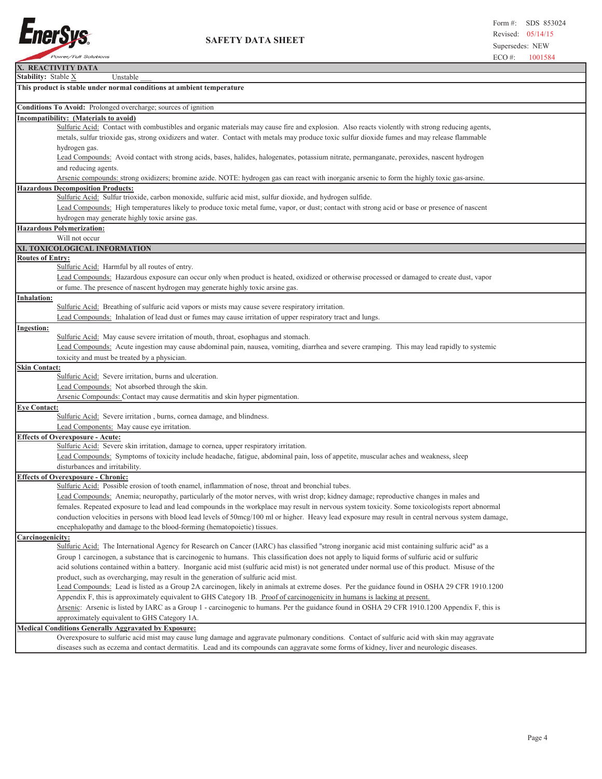

 **SAFETY DATA SHEET**

| X. REACTIVITY DATA                                                                                                                                   |
|------------------------------------------------------------------------------------------------------------------------------------------------------|
| Stability: Stable X<br>Unstable                                                                                                                      |
| This product is stable under normal conditions at ambient temperature                                                                                |
| Conditions To Avoid: Prolonged overcharge; sources of ignition                                                                                       |
| Incompatibility: (Materials to avoid)                                                                                                                |
| Sulfuric Acid: Contact with combustibles and organic materials may cause fire and explosion. Also reacts violently with strong reducing agents,      |
| metals, sulfur trioxide gas, strong oxidizers and water. Contact with metals may produce toxic sulfur dioxide fumes and may release flammable        |
| hydrogen gas.                                                                                                                                        |
| Lead Compounds: Avoid contact with strong acids, bases, halides, halogenates, potassium nitrate, permanganate, peroxides, nascent hydrogen           |
| and reducing agents.                                                                                                                                 |
| Arsenic compounds: strong oxidizers; bromine azide. NOTE: hydrogen gas can react with inorganic arsenic to form the highly toxic gas-arsine.         |
| <b>Hazardous Decomposition Products:</b>                                                                                                             |
| Sulfuric Acid: Sulfur trioxide, carbon monoxide, sulfuric acid mist, sulfur dioxide, and hydrogen sulfide.                                           |
| Lead Compounds: High temperatures likely to produce toxic metal fume, vapor, or dust; contact with strong acid or base or presence of nascent        |
| hydrogen may generate highly toxic arsine gas.                                                                                                       |
| Hazardous Polymerization:                                                                                                                            |
| Will not occur                                                                                                                                       |
| XI. TOXICOLOGICAL INFORMATION                                                                                                                        |
| <b>Routes of Entry:</b>                                                                                                                              |
| Sulfuric Acid: Harmful by all routes of entry.                                                                                                       |
| Lead Compounds: Hazardous exposure can occur only when product is heated, oxidized or otherwise processed or damaged to create dust, vapor           |
| or fume. The presence of nascent hydrogen may generate highly toxic arsine gas.                                                                      |
| Inhalation:                                                                                                                                          |
| Sulfuric Acid: Breathing of sulfuric acid vapors or mists may cause severe respiratory irritation.                                                   |
| Lead Compounds: Inhalation of lead dust or fumes may cause irritation of upper respiratory tract and lungs.                                          |
| Ingestion:                                                                                                                                           |
| Sulfuric Acid: May cause severe irritation of mouth, throat, esophagus and stomach.                                                                  |
| Lead Compounds: Acute ingestion may cause abdominal pain, nausea, vomiting, diarrhea and severe cramping. This may lead rapidly to systemic          |
| toxicity and must be treated by a physician.                                                                                                         |
| <b>Skin Contact:</b>                                                                                                                                 |
| Sulfuric Acid: Severe irritation, burns and ulceration.                                                                                              |
| Lead Compounds: Not absorbed through the skin.                                                                                                       |
| Arsenic Compounds: Contact may cause dermatitis and skin hyper pigmentation.                                                                         |
| <b>Eye Contact:</b>                                                                                                                                  |
| Sulfuric Acid: Severe irritation, burns, cornea damage, and blindness.                                                                               |
| Lead Components: May cause eye irritation.                                                                                                           |
| <b>Effects of Overexposure - Acute:</b>                                                                                                              |
| Sulfuric Acid: Severe skin irritation, damage to cornea, upper respiratory irritation.                                                               |
| Lead Compounds: Symptoms of toxicity include headache, fatigue, abdominal pain, loss of appetite, muscular aches and weakness, sleep                 |
| disturbances and irritability.                                                                                                                       |
| <b>Effects of Overexposure - Chronic:</b>                                                                                                            |
| Sulfuric Acid: Possible erosion of tooth enamel, inflammation of nose, throat and bronchial tubes.                                                   |
| Lead Compounds: Anemia; neuropathy, particularly of the motor nerves, with wrist drop; kidney damage; reproductive changes in males and              |
|                                                                                                                                                      |
| females. Repeated exposure to lead and lead compounds in the workplace may result in nervous system toxicity. Some toxicologists report abnormal     |
| conduction velocities in persons with blood lead levels of 50mcg/100 ml or higher. Heavy lead exposure may result in central nervous system damage,  |
| encephalopathy and damage to the blood-forming (hematopoietic) tissues.                                                                              |
| Carcinogenicity:                                                                                                                                     |
| Sulfuric Acid: The International Agency for Research on Cancer (IARC) has classified "strong inorganic acid mist containing sulfuric acid" as a      |
| Group 1 carcinogen, a substance that is carcinogenic to humans. This classification does not apply to liquid forms of sulfuric acid or sulfuric      |
| acid solutions contained within a battery. Inorganic acid mist (sulfuric acid mist) is not generated under normal use of this product. Misuse of the |
| product, such as overcharging, may result in the generation of sulfuric acid mist.                                                                   |
| Lead Compounds: Lead is listed as a Group 2A carcinogen, likely in animals at extreme doses. Per the guidance found in OSHA 29 CFR 1910.1200         |
| Appendix F, this is approximately equivalent to GHS Category 1B. Proof of carcinogenicity in humans is lacking at present.                           |
| Arsenic: Arsenic is listed by IARC as a Group 1 - carcinogenic to humans. Per the guidance found in OSHA 29 CFR 1910.1200 Appendix F, this is        |
| approximately equivalent to GHS Category 1A.                                                                                                         |
| <b>Medical Conditions Generally Aggravated by Exposure:</b>                                                                                          |
| Overexposure to sulfuric acid mist may cause lung damage and aggravate pulmonary conditions. Contact of sulfuric acid with skin may aggravate        |
| diseases such as eczema and contact dermatitis. Lead and its compounds can aggravate some forms of kidney, liver and neurologic diseases.            |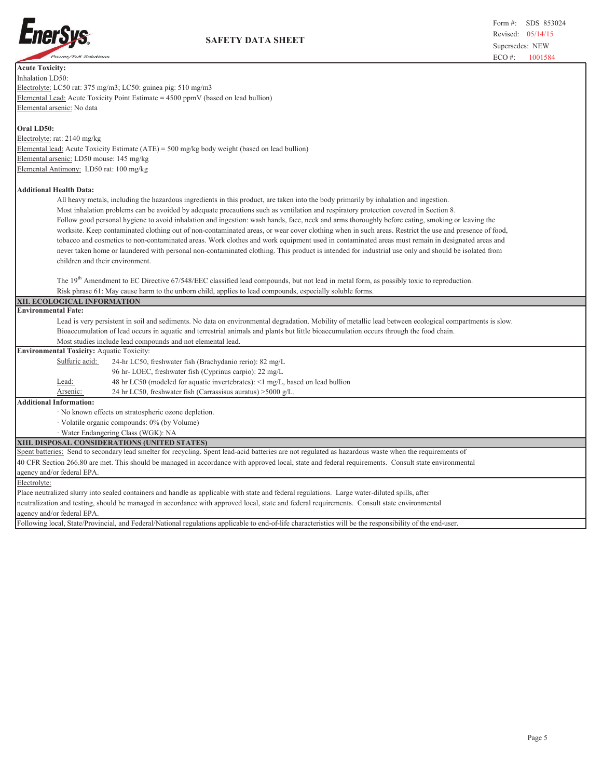

| <b>Acute Toxicity:</b>                                                                                                                                  |
|---------------------------------------------------------------------------------------------------------------------------------------------------------|
| Inhalation LD50:                                                                                                                                        |
| Electrolyte: LC50 rat: 375 mg/m3; LC50: guinea pig: 510 mg/m3                                                                                           |
| Elemental Lead: Acute Toxicity Point Estimate $= 4500$ ppmV (based on lead bullion)                                                                     |
| Elemental arsenic: No data                                                                                                                              |
|                                                                                                                                                         |
| Oral LD50:                                                                                                                                              |
| Electrolyte: rat: 2140 mg/kg                                                                                                                            |
| Elemental lead: Acute Toxicity Estimate (ATE) = 500 mg/kg body weight (based on lead bullion)                                                           |
| Elemental arsenic: LD50 mouse: 145 mg/kg                                                                                                                |
| Elemental Antimony: LD50 rat: 100 mg/kg                                                                                                                 |
|                                                                                                                                                         |
| <b>Additional Health Data:</b>                                                                                                                          |
| All heavy metals, including the hazardous ingredients in this product, are taken into the body primarily by inhalation and ingestion.                   |
| Most inhalation problems can be avoided by adequate precautions such as ventilation and respiratory protection covered in Section 8.                    |
| Follow good personal hygiene to avoid inhalation and ingestion: wash hands, face, neck and arms thoroughly before eating, smoking or leaving the        |
| worksite. Keep contaminated clothing out of non-contaminated areas, or wear cover clothing when in such areas. Restrict the use and presence of food,   |
| tobacco and cosmetics to non-contaminated areas. Work clothes and work equipment used in contaminated areas must remain in designated areas and         |
| never taken home or laundered with personal non-contaminated clothing. This product is intended for industrial use only and should be isolated from     |
| children and their environment.                                                                                                                         |
|                                                                                                                                                         |
| The 19 <sup>th</sup> Amendment to EC Directive 67/548/EEC classified lead compounds, but not lead in metal form, as possibly toxic to reproduction.     |
| Risk phrase 61: May cause harm to the unborn child, applies to lead compounds, especially soluble forms.                                                |
|                                                                                                                                                         |
|                                                                                                                                                         |
| XII. ECOLOGICAL INFORMATION<br><b>Environmental Fate:</b>                                                                                               |
|                                                                                                                                                         |
| Lead is very persistent in soil and sediments. No data on environmental degradation. Mobility of metallic lead between ecological compartments is slow. |
| Bioaccumulation of lead occurs in aquatic and terrestrial animals and plants but little bioaccumulation occurs through the food chain.                  |
| Most studies include lead compounds and not elemental lead.                                                                                             |
| <b>Environmental Toxicity: Aquatic Toxicity:</b><br>Sulfuric acid:<br>24-hr LC50, freshwater fish (Brachydanio rerio): 82 mg/L                          |
|                                                                                                                                                         |
| 96 hr-LOEC, freshwater fish (Cyprinus carpio): 22 mg/L<br>Lead:                                                                                         |
| 48 hr LC50 (modeled for aquatic invertebrates): <1 mg/L, based on lead bullion<br>Arsenic:                                                              |
| 24 hr LC50, freshwater fish (Carrassisus auratus) > 5000 g/L.<br><b>Additional Information:</b>                                                         |
| · No known effects on stratospheric ozone depletion.                                                                                                    |
|                                                                                                                                                         |
| · Volatile organic compounds: 0% (by Volume)                                                                                                            |
| · Water Endangering Class (WGK): NA<br>XIII. DISPOSAL CONSIDERATIONS (UNITED STATES)                                                                    |
| Spent batteries: Send to secondary lead smelter for recycling. Spent lead-acid batteries are not regulated as hazardous waste when the requirements of  |
| 40 CFR Section 266.80 are met. This should be managed in accordance with approved local, state and federal requirements. Consult state environmental    |
| agency and/or federal EPA.                                                                                                                              |
| Electrolyte:                                                                                                                                            |
| Place neutralized slurry into sealed containers and handle as applicable with state and federal regulations. Large water-diluted spills, after          |
| neutralization and testing, should be managed in accordance with approved local, state and federal requirements. Consult state environmental            |
| agency and/or federal EPA.                                                                                                                              |

Following local, State/Provincial, and Federal/National regulations applicable to end-of-life characteristics will be the responsibility of the end-user.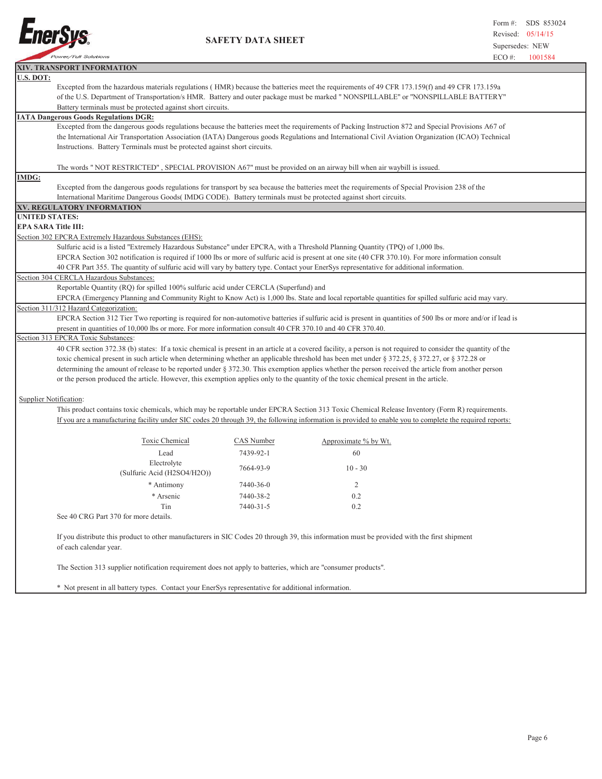

I

 **SAFETY DATA SHEET**

|                            | <b>POWER/FUIL SOLUTIONS</b>                                                                                                                                                                                                                                                                              |            | $ECO \#$                                                                                                                                                       | 1001584 |  |  |  |
|----------------------------|----------------------------------------------------------------------------------------------------------------------------------------------------------------------------------------------------------------------------------------------------------------------------------------------------------|------------|----------------------------------------------------------------------------------------------------------------------------------------------------------------|---------|--|--|--|
|                            | XIV. TRANSPORT INFORMATION                                                                                                                                                                                                                                                                               |            |                                                                                                                                                                |         |  |  |  |
| U.S. DOT:                  |                                                                                                                                                                                                                                                                                                          |            |                                                                                                                                                                |         |  |  |  |
|                            | Excepted from the hazardous materials regulations (HMR) because the batteries meet the requirements of 49 CFR 173.159(f) and 49 CFR 173.159a                                                                                                                                                             |            |                                                                                                                                                                |         |  |  |  |
|                            |                                                                                                                                                                                                                                                                                                          |            | of the U.S. Department of Transportation/s HMR. Battery and outer package must be marked " NONSPILLABLE" or "NONSPILLABLE BATTERY"                             |         |  |  |  |
|                            | Battery terminals must be protected against short circuits.                                                                                                                                                                                                                                              |            |                                                                                                                                                                |         |  |  |  |
|                            | <b>IATA Dangerous Goods Regulations DGR:</b>                                                                                                                                                                                                                                                             |            |                                                                                                                                                                |         |  |  |  |
|                            | Excepted from the dangerous goods regulations because the batteries meet the requirements of Packing Instruction 872 and Special Provisions A67 of<br>the International Air Transportation Association (IATA) Dangerous goods Regulations and International Civil Aviation Organization (ICAO) Technical |            |                                                                                                                                                                |         |  |  |  |
|                            | Instructions. Battery Terminals must be protected against short circuits.                                                                                                                                                                                                                                |            |                                                                                                                                                                |         |  |  |  |
|                            |                                                                                                                                                                                                                                                                                                          |            |                                                                                                                                                                |         |  |  |  |
|                            |                                                                                                                                                                                                                                                                                                          |            |                                                                                                                                                                |         |  |  |  |
| <b>IMDG:</b>               | The words "NOT RESTRICTED", SPECIAL PROVISION A67" must be provided on an airway bill when air waybill is issued.                                                                                                                                                                                        |            |                                                                                                                                                                |         |  |  |  |
|                            | Excepted from the dangerous goods regulations for transport by sea because the batteries meet the requirements of Special Provision 238 of the                                                                                                                                                           |            |                                                                                                                                                                |         |  |  |  |
|                            | International Maritime Dangerous Goods (IMDG CODE). Battery terminals must be protected against short circuits.                                                                                                                                                                                          |            |                                                                                                                                                                |         |  |  |  |
|                            | XV. REGULATORY INFORMATION                                                                                                                                                                                                                                                                               |            |                                                                                                                                                                |         |  |  |  |
| <b>UNITED STATES:</b>      |                                                                                                                                                                                                                                                                                                          |            |                                                                                                                                                                |         |  |  |  |
| <b>EPA SARA Title III:</b> |                                                                                                                                                                                                                                                                                                          |            |                                                                                                                                                                |         |  |  |  |
|                            | Section 302 EPCRA Extremely Hazardous Substances (EHS):                                                                                                                                                                                                                                                  |            |                                                                                                                                                                |         |  |  |  |
|                            | Sulfuric acid is a listed "Extremely Hazardous Substance" under EPCRA, with a Threshold Planning Quantity (TPQ) of 1,000 lbs.                                                                                                                                                                            |            |                                                                                                                                                                |         |  |  |  |
|                            |                                                                                                                                                                                                                                                                                                          |            | EPCRA Section 302 notification is required if 1000 lbs or more of sulfuric acid is present at one site (40 CFR 370.10). For more information consult           |         |  |  |  |
|                            | 40 CFR Part 355. The quantity of sulfuric acid will vary by battery type. Contact your EnerSys representative for additional information.                                                                                                                                                                |            |                                                                                                                                                                |         |  |  |  |
|                            | Section 304 CERCLA Hazardous Substances:                                                                                                                                                                                                                                                                 |            |                                                                                                                                                                |         |  |  |  |
|                            | Reportable Quantity (RQ) for spilled 100% sulfuric acid under CERCLA (Superfund) and                                                                                                                                                                                                                     |            |                                                                                                                                                                |         |  |  |  |
|                            |                                                                                                                                                                                                                                                                                                          |            | EPCRA (Emergency Planning and Community Right to Know Act) is 1,000 lbs. State and local reportable quantities for spilled sulfuric acid may vary.             |         |  |  |  |
|                            | Section 311/312 Hazard Categorization:                                                                                                                                                                                                                                                                   |            |                                                                                                                                                                |         |  |  |  |
|                            |                                                                                                                                                                                                                                                                                                          |            | EPCRA Section 312 Tier Two reporting is required for non-automotive batteries if sulfuric acid is present in quantities of 500 lbs or more and/or if lead is   |         |  |  |  |
|                            | present in quantities of 10,000 lbs or more. For more information consult 40 CFR 370.10 and 40 CFR 370.40.                                                                                                                                                                                               |            |                                                                                                                                                                |         |  |  |  |
|                            | Section 313 EPCRA Toxic Substances:                                                                                                                                                                                                                                                                      |            |                                                                                                                                                                |         |  |  |  |
|                            |                                                                                                                                                                                                                                                                                                          |            | 40 CFR section 372.38 (b) states: If a toxic chemical is present in an article at a covered facility, a person is not required to consider the quantity of the |         |  |  |  |
|                            |                                                                                                                                                                                                                                                                                                          |            | toxic chemical present in such article when determining whether an applicable threshold has been met under § 372.25, § 372.27, or § 372.28 or                  |         |  |  |  |
|                            |                                                                                                                                                                                                                                                                                                          |            | determining the amount of release to be reported under § 372.30. This exemption applies whether the person received the article from another person            |         |  |  |  |
|                            | or the person produced the article. However, this exemption applies only to the quantity of the toxic chemical present in the article.                                                                                                                                                                   |            |                                                                                                                                                                |         |  |  |  |
|                            |                                                                                                                                                                                                                                                                                                          |            |                                                                                                                                                                |         |  |  |  |
| Supplier Notification:     |                                                                                                                                                                                                                                                                                                          |            |                                                                                                                                                                |         |  |  |  |
|                            |                                                                                                                                                                                                                                                                                                          |            | This product contains toxic chemicals, which may be reportable under EPCRA Section 313 Toxic Chemical Release Inventory (Form R) requirements.                 |         |  |  |  |
|                            |                                                                                                                                                                                                                                                                                                          |            | If you are a manufacturing facility under SIC codes 20 through 39, the following information is provided to enable you to complete the required reports:       |         |  |  |  |
|                            |                                                                                                                                                                                                                                                                                                          |            |                                                                                                                                                                |         |  |  |  |
|                            | Toxic Chemical                                                                                                                                                                                                                                                                                           | CAS Number | Approximate % by Wt.                                                                                                                                           |         |  |  |  |
|                            | Lead                                                                                                                                                                                                                                                                                                     | 7439-92-1  | 60                                                                                                                                                             |         |  |  |  |
|                            | Electrolyte                                                                                                                                                                                                                                                                                              | 7664-93-9  | $10 - 30$                                                                                                                                                      |         |  |  |  |
|                            | (Sulfuric Acid (H2SO4/H2O))                                                                                                                                                                                                                                                                              |            |                                                                                                                                                                |         |  |  |  |
|                            | * Antimony                                                                                                                                                                                                                                                                                               | 7440-36-0  | 2                                                                                                                                                              |         |  |  |  |
|                            | * Arsenic                                                                                                                                                                                                                                                                                                | 7440-38-2  | 0.2                                                                                                                                                            |         |  |  |  |
|                            | Tin                                                                                                                                                                                                                                                                                                      | 7440-31-5  | 0.2                                                                                                                                                            |         |  |  |  |
|                            | See 40 CRG Part 370 for more details.                                                                                                                                                                                                                                                                    |            |                                                                                                                                                                |         |  |  |  |
|                            |                                                                                                                                                                                                                                                                                                          |            |                                                                                                                                                                |         |  |  |  |
|                            |                                                                                                                                                                                                                                                                                                          |            | If you distribute this product to other manufacturers in SIC Codes 20 through 39, this information must be provided with the first shipment                    |         |  |  |  |
|                            | of each calendar year.                                                                                                                                                                                                                                                                                   |            |                                                                                                                                                                |         |  |  |  |
|                            |                                                                                                                                                                                                                                                                                                          |            |                                                                                                                                                                |         |  |  |  |
|                            | The Section 313 supplier notification requirement does not apply to batteries, which are "consumer products".                                                                                                                                                                                            |            |                                                                                                                                                                |         |  |  |  |
|                            |                                                                                                                                                                                                                                                                                                          |            |                                                                                                                                                                |         |  |  |  |
|                            | Not present in all bettery types. Contact your Energys representative for additional information                                                                                                                                                                                                         |            |                                                                                                                                                                |         |  |  |  |

\* Not present in all battery types. Contact your EnerSys representative for additional information.